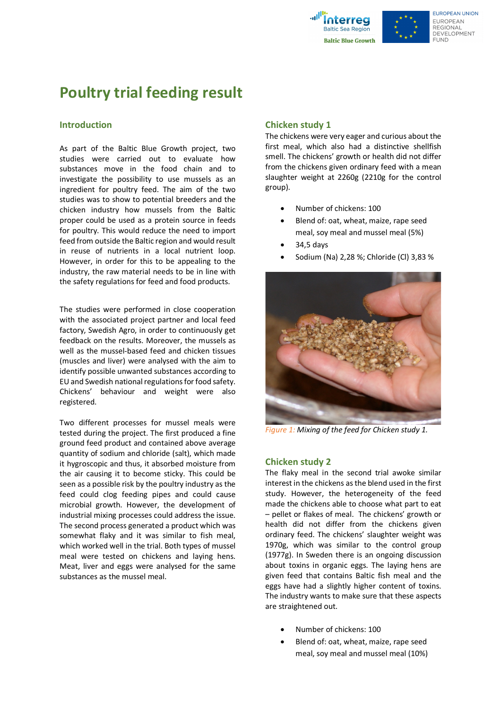



# **Poultry trial feeding result**

#### **Introduction**

As part of the Baltic Blue Growth project, two studies were carried out to evaluate how substances move in the food chain and to investigate the possibility to use mussels as an ingredient for poultry feed. The aim of the two studies was to show to potential breeders and the chicken industry how mussels from the Baltic proper could be used as a protein source in feeds for poultry. This would reduce the need to import feed from outside the Baltic region and would result in reuse of nutrients in a local nutrient loop. However, in order for this to be appealing to the industry, the raw material needs to be in line with the safety regulations for feed and food products.

The studies were performed in close cooperation with the associated project partner and local feed factory, Swedish Agro, in order to continuously get feedback on the results. Moreover, the mussels as well as the mussel-based feed and chicken tissues (muscles and liver) were analysed with the aim to identify possible unwanted substances according to EU and Swedish national regulations for food safety. Chickens' behaviour and weight were also registered.

Two different processes for mussel meals were tested during the project. The first produced a fine ground feed product and contained above average quantity of sodium and chloride (salt), which made it hygroscopic and thus, it absorbed moisture from the air causing it to become sticky. This could be seen as a possible risk by the poultry industry as the feed could clog feeding pipes and could cause microbial growth. However, the development of industrial mixing processes could address the issue. The second process generated a product which was somewhat flaky and it was similar to fish meal, which worked well in the trial. Both types of mussel meal were tested on chickens and laying hens. Meat, liver and eggs were analysed for the same substances as the mussel meal.

### **Chicken study 1**

The chickens were very eager and curious about the first meal, which also had a distinctive shellfish smell. The chickens' growth or health did not differ from the chickens given ordinary feed with a mean slaughter weight at 2260g (2210g for the control group).

- Number of chickens: 100
- Blend of: oat, wheat, maize, rape seed meal, soy meal and mussel meal (5%)
- 34,5 days
- Sodium (Na) 2,28 %; Chloride (Cl) 3,83 %



*Figure 1: Mixing of the feed for Chicken study 1.* 

#### **Chicken study 2**

The flaky meal in the second trial awoke similar interest in the chickens as the blend used in the first study. However, the heterogeneity of the feed made the chickens able to choose what part to eat – pellet or flakes of meal. The chickens' growth or health did not differ from the chickens given ordinary feed. The chickens' slaughter weight was 1970g, which was similar to the control group (1977g). In Sweden there is an ongoing discussion about toxins in organic eggs. The laying hens are given feed that contains Baltic fish meal and the eggs have had a slightly higher content of toxins. The industry wants to make sure that these aspects are straightened out.

- Number of chickens: 100
- Blend of: oat, wheat, maize, rape seed meal, soy meal and mussel meal (10%)